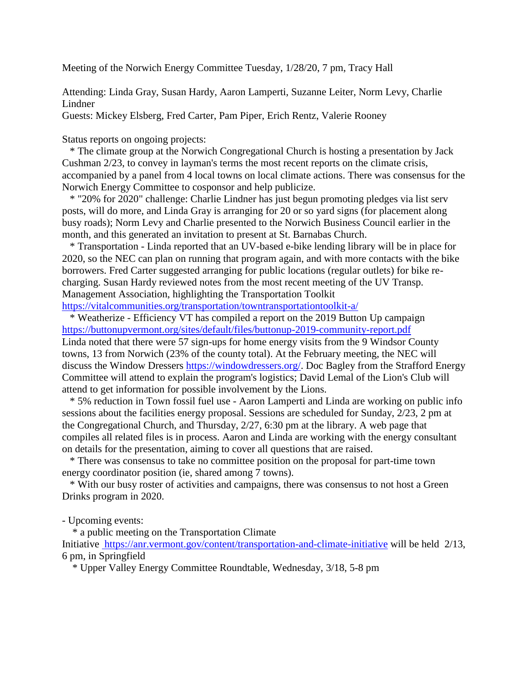Meeting of the Norwich Energy Committee Tuesday, 1/28/20, 7 pm, Tracy Hall

Attending: Linda Gray, Susan Hardy, Aaron Lamperti, Suzanne Leiter, Norm Levy, Charlie Lindner

Guests: Mickey Elsberg, Fred Carter, Pam Piper, Erich Rentz, Valerie Rooney

Status reports on ongoing projects:

 \* The climate group at the Norwich Congregational Church is hosting a presentation by Jack Cushman 2/23, to convey in layman's terms the most recent reports on the climate crisis, accompanied by a panel from 4 local towns on local climate actions. There was consensus for the Norwich Energy Committee to cosponsor and help publicize.

\* "20% for 2020" challenge: Charlie Lindner has just begun promoting pledges via list serv posts, will do more, and Linda Gray is arranging for 20 or so yard signs (for placement along busy roads); Norm Levy and Charlie presented to the Norwich Business Council earlier in the month, and this generated an invitation to present at St. Barnabas Church.

\* Transportation - Linda reported that an UV-based e-bike lending library will be in place for 2020, so the NEC can plan on running that program again, and with more contacts with the bike borrowers. Fred Carter suggested arranging for public locations (regular outlets) for bike recharging. Susan Hardy reviewed notes from the most recent meeting of the UV Transp. Management Association, highlighting the Transportation Toolkit <https://vitalcommunities.org/transportation/towntransportationtoolkit-a/>

\* Weatherize - Efficiency VT has compiled a report on the 2019 Button Up campaign [https://buttonupvermont.org/sites/default/files/buttonup-2019-community-report.pdf](https://urldefense.proofpoint.com/v2/url?u=https-3A__buttonupvermont.org_sites_default_files_buttonup-2D2019-2Dcommunity-2Dreport.pdf&d=DwMFaQ&c=IaXKzPzLOvtE1b6FJBWbw2EjBgJ76D4Vv5FmxREy6Ro&r=5w1Kj9PDbYo5S85UW_jyRA&m=_1kC5HsK7NStQsOi6osSsxL7IfAILFTLPntztClkigc&s=LdNG_2ozy22K4Qo6AQ9vw-DzakXLnbeORIgBq1mYMDQ&e=) Linda noted that there were 57 sign-ups for home energy visits from the 9 Windsor County towns, 13 from Norwich (23% of the county total). At the February meeting, the NEC will discuss the Window Dressers [https://windowdressers.org/.](https://windowdressers.org/) Doc Bagley from the Strafford Energy Committee will attend to explain the program's logistics; David Lemal of the Lion's Club will attend to get information for possible involvement by the Lions.

\* 5% reduction in Town fossil fuel use - Aaron Lamperti and Linda are working on public info sessions about the facilities energy proposal. Sessions are scheduled for Sunday, 2/23, 2 pm at the Congregational Church, and Thursday, 2/27, 6:30 pm at the library. A web page that compiles all related files is in process. Aaron and Linda are working with the energy consultant on details for the presentation, aiming to cover all questions that are raised.

\* There was consensus to take no committee position on the proposal for part-time town energy coordinator position (ie, shared among 7 towns).

\* With our busy roster of activities and campaigns, there was consensus to not host a Green Drinks program in 2020.

- Upcoming events:

\* a public meeting on the Transportation Climate

Initiative <https://anr.vermont.gov/content/transportation-and-climate-initiative> will be held 2/13, 6 pm, in Springfield

\* Upper Valley Energy Committee Roundtable, Wednesday, 3/18, 5-8 pm